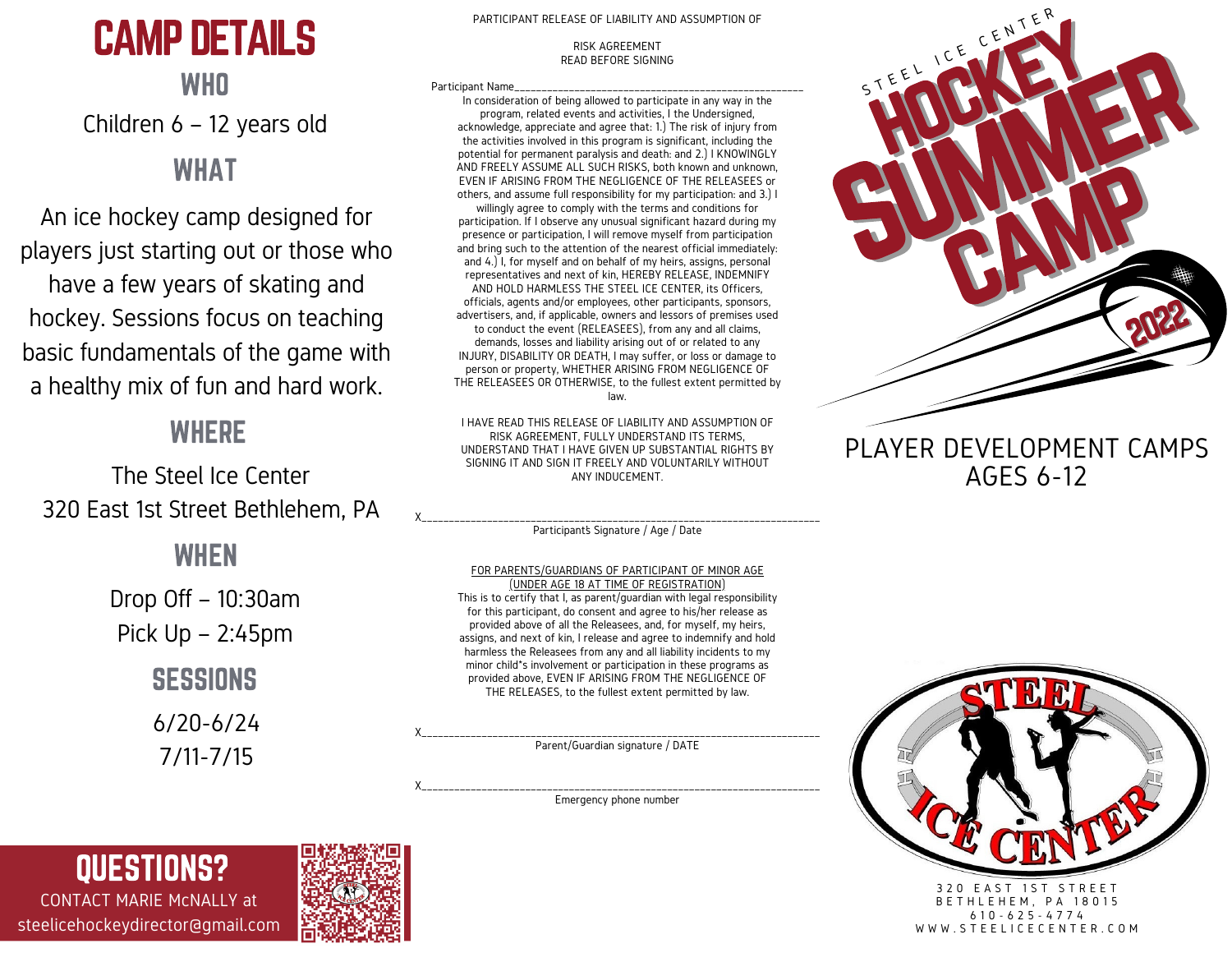# CAMP DETAILS

# **WHO** Children 6 – 12 years old

## WHAT

An ice hockey camp designed for players just starting out or those who have a few years of skating and hockey. Sessions focus on teaching basic fundamentals of the game with a healthy mix of fun and hard work.

# **WHERE**

The Steel Ice Center 320 East 1st Street Bethlehem, PA

## WHEN

Drop Off – 10:30am Pick Up – 2:45pm **SESSIONS** 6/20-6/24

7/11-7/15

#### PARTICIPANT RELEASE OF LIABILITY AND ASSUMPTION OF

#### RISK AGREEMENT READ BEFORE SIGNING

Participant Name

In consideration of being allowed to participate in any way in the program, related events and activities, I the Undersigned, acknowledge, appreciate and agree that: 1.) The risk of injury from the activities involved in this program is significant, including the potential for permanent paralysis and death: and 2.) I KNOWINGLY AND FREELY ASSUME ALL SUCH RISKS, both known and unknown, EVEN IF ARISING FROM THE NEGLIGENCE OF THE RELEASEES or others, and assume full responsibility for my participation: and 3.) I

willingly agree to comply with the terms and conditions for participation. If I observe any unusual significant hazard during my presence or participation, I will remove myself from participation and bring such to the attention of the nearest official immediately: and 4.) I, for myself and on behalf of my heirs, assigns, personal representatives and next of kin, HEREBY RELEASE, INDEMNIFY AND HOLD HARMLESS THE STEEL ICE CENTER, its Officers, officials, agents and/or employees, other participants, sponsors, advertisers, and, if applicable, owners and lessors of premises used to conduct the event (RELEASEES), from any and all claims, demands, losses and liability arising out of or related to any INJURY, DISABILITY OR DEATH, I may suffer, or loss or damage to person or property, WHETHER ARISING FROM NEGLIGENCE OF THE RELEASEES OR OTHERWISE, to the fullest extent permitted by law.

I HAVE READ THIS RELEASE OF LIABILITY AND ASSUMPTION OF RISK AGREEMENT, FULLY UNDERSTAND ITS TERMS, UNDERSTAND THAT I HAVE GIVEN UP SUBSTANTIAL RIGHTS BY SIGNING IT AND SIGN IT FREELY AND VOLUNTARILY WITHOUT ANY INDUCEMENT.

X\_\_\_\_\_\_\_\_\_\_\_\_\_\_\_\_\_\_\_\_\_\_\_\_\_\_\_\_\_\_\_\_\_\_\_\_\_\_\_\_\_\_\_\_\_\_\_\_\_\_\_\_\_\_\_\_\_\_\_\_\_\_\_\_\_\_\_\_\_\_\_\_\_ Participant's Signature / Age / Date

#### FOR PARENTS/GUARDIANS OF PARTICIPANT OF MINOR AGE

(UNDER AGE 18 AT TIME OF REGISTRATION) This is to certify that I, as parent/guardian with legal responsibility for this participant, do consent and agree to his/her release as provided above of all the Releasees, and, for myself, my heirs, assigns, and next of kin, I release and agree to indemnify and hold harmless the Releasees from any and all liability incidents to my minor child\*s involvement or participation in these programs as provided above, EVEN IF ARISING FROM THE NEGLIGENCE OF THE RELEASES, to the fullest extent permitted by law.

X\_\_\_\_\_\_\_\_\_\_\_\_\_\_\_\_\_\_\_\_\_\_\_\_\_\_\_\_\_\_\_\_\_\_\_\_\_\_\_\_\_\_\_\_\_\_\_\_\_\_\_\_\_\_\_\_\_\_\_\_\_\_\_\_\_\_\_\_\_\_\_\_\_ Parent/Guardian signature / DATE

X\_\_\_\_\_\_\_\_\_\_\_\_\_\_\_\_\_\_\_\_\_\_\_\_\_\_\_\_\_\_\_\_\_\_\_\_\_\_\_\_\_\_\_\_\_\_\_\_\_\_\_\_\_\_\_\_\_\_\_\_\_\_\_\_\_\_\_\_\_\_\_\_\_ Emergency phone number



### PLAYER DEVELOPMENT CAMPS AGES 6-12



3 2 0 E A S T 1 S T S T R E E T **B E T H L E H E M, P A 18015** 6 1 0 - 6 2 5 - 4 7 7 4 W W W . S T E E L I C E C E N T E R . C O M